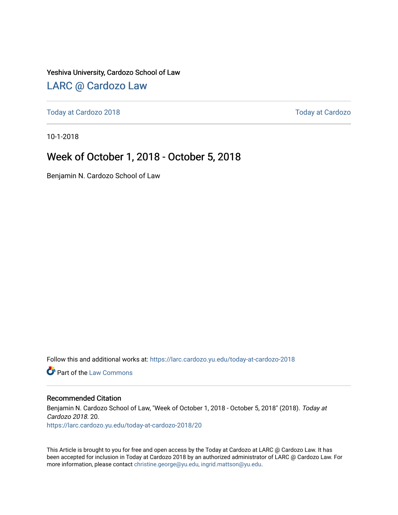Yeshiva University, Cardozo School of Law

#### [LARC @ Cardozo Law](https://larc.cardozo.yu.edu/)

[Today at Cardozo 2018](https://larc.cardozo.yu.edu/today-at-cardozo-2018) [Today at Cardozo](https://larc.cardozo.yu.edu/today-at-cardozo) 

10-1-2018

#### Week of October 1, 2018 - October 5, 2018

Benjamin N. Cardozo School of Law

Follow this and additional works at: [https://larc.cardozo.yu.edu/today-at-cardozo-2018](https://larc.cardozo.yu.edu/today-at-cardozo-2018?utm_source=larc.cardozo.yu.edu%2Ftoday-at-cardozo-2018%2F20&utm_medium=PDF&utm_campaign=PDFCoverPages)

**C** Part of the [Law Commons](http://network.bepress.com/hgg/discipline/578?utm_source=larc.cardozo.yu.edu%2Ftoday-at-cardozo-2018%2F20&utm_medium=PDF&utm_campaign=PDFCoverPages)

#### Recommended Citation

Benjamin N. Cardozo School of Law, "Week of October 1, 2018 - October 5, 2018" (2018). Today at Cardozo 2018. 20. [https://larc.cardozo.yu.edu/today-at-cardozo-2018/20](https://larc.cardozo.yu.edu/today-at-cardozo-2018/20?utm_source=larc.cardozo.yu.edu%2Ftoday-at-cardozo-2018%2F20&utm_medium=PDF&utm_campaign=PDFCoverPages) 

This Article is brought to you for free and open access by the Today at Cardozo at LARC @ Cardozo Law. It has been accepted for inclusion in Today at Cardozo 2018 by an authorized administrator of LARC @ Cardozo Law. For more information, please contact [christine.george@yu.edu, ingrid.mattson@yu.edu](mailto:christine.george@yu.edu,%20ingrid.mattson@yu.edu).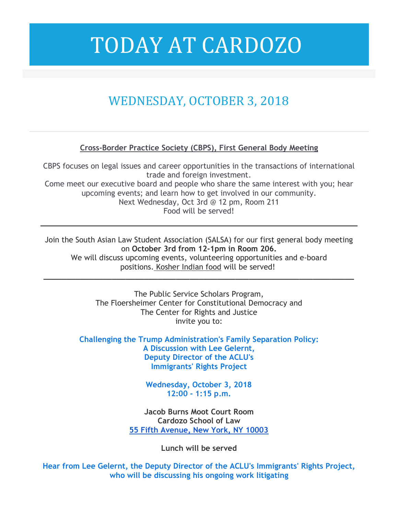# TODAY AT CARDOZO

### WEDNESDAY, OCTOBER 3, 2018

#### **Cross-Border Practice Society (CBPS), First General Body Meeting**

CBPS focuses on legal issues and career opportunities in the transactions of international trade and foreign investment. Come meet our executive board and people who share the same interest with you; hear upcoming events; and learn how to get involved in our community. Next Wednesday, Oct 3rd @ 12 pm, Room 211 Food will be served!

Join the South Asian Law Student Association (SALSA) for our first general body meeting on **October 3rd from 12-1pm in Room 206.**

We will discuss upcoming events, volunteering opportunities and e-board positions. Kosher Indian food will be served!

**\_\_\_\_\_\_\_\_\_\_\_\_\_\_\_\_\_\_\_\_\_\_\_\_\_\_\_\_\_\_\_\_\_\_\_\_\_\_\_\_\_\_\_\_\_\_\_\_\_\_\_\_\_\_\_\_\_\_\_\_\_\_\_\_\_\_\_\_**

The Public Service Scholars Program, The Floersheimer Center for Constitutional Democracy and The Center for Rights and Justice invite you to:

**Challenging the Trump Administration's Family Separation Policy: A Discussion with Lee Gelernt, Deputy Director of the ACLU's Immigrants' Rights Project**

> **Wednesday, October 3, 2018 12:00 - 1:15 p.m.**

**Jacob Burns Moot Court Room Cardozo School of Law 55 Fifth Avenue, New York, NY 10003**

**Lunch will be served**

**Hear from Lee Gelernt, the Deputy Director of the ACLU's Immigrants' Rights Project, who will be discussing his ongoing work litigating**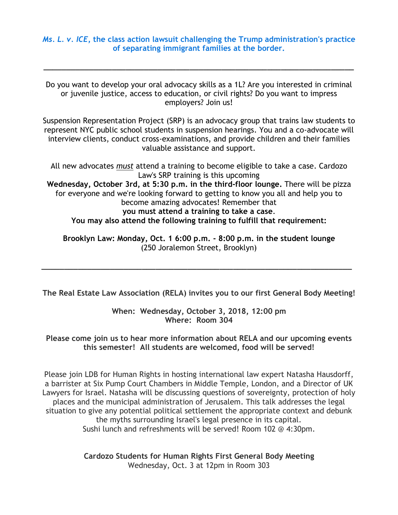*Ms. L. v. ICE***, the class action lawsuit challenging the Trump administration's practice of separating immigrant families at the border.**

**\_\_\_\_\_\_\_\_\_\_\_\_\_\_\_\_\_\_\_\_\_\_\_\_\_\_\_\_\_\_\_\_\_\_\_\_\_\_\_\_\_\_\_\_\_\_\_\_\_\_\_\_\_\_\_\_\_\_\_\_\_\_\_\_\_\_\_\_**

Do you want to develop your oral advocacy skills as a 1L? Are you interested in criminal or juvenile justice, access to education, or civil rights? Do you want to impress employers? Join us!

Suspension Representation Project (SRP) is an advocacy group that trains law students to represent NYC public school students in suspension hearings. You and a co-advocate will interview clients, conduct cross-examinations, and provide children and their families valuable assistance and support.

All new advocates *must* attend a training to become eligible to take a case. Cardozo Law's SRP training is this upcoming **Wednesday, October 3rd, at 5:30 p.m. in the third-floor lounge.** There will be pizza for everyone and we're looking forward to getting to know you all and help you to become amazing advocates! Remember that **you must attend a training to take a case**. **You may also attend the following training to fulfill that requirement:**

**Brooklyn Law: Monday, Oct. 1 6:00 p.m. - 8:00 p.m. in the student lounge** (250 Joralemon Street, Brooklyn)

**\_\_\_\_\_\_\_\_\_\_\_\_\_\_\_\_\_\_\_\_\_\_\_\_\_\_\_\_\_\_\_\_\_\_\_\_\_\_\_\_\_\_\_\_\_\_\_\_\_\_\_\_\_\_\_\_\_\_\_\_\_\_\_\_\_\_\_\_**

**The Real Estate Law Association (RELA) invites you to our first General Body Meeting!**

**When: Wednesday, October 3, 2018, 12:00 pm Where: Room 304**

**Please come join us to hear more information about RELA and our upcoming events this semester! All students are welcomed, food will be served!**

Please join LDB for Human Rights in hosting international law expert Natasha Hausdorff, a barrister at Six Pump Court Chambers in Middle Temple, London, and a Director of UK Lawyers for Israel. Natasha will be discussing questions of sovereignty, protection of holy places and the municipal administration of Jerusalem. This talk addresses the legal situation to give any potential political settlement the appropriate context and debunk the myths surrounding Israel's legal presence in its capital. Sushi lunch and refreshments will be served! Room 102 @ 4:30pm.

> **Cardozo Students for Human Rights First General Body Meeting** Wednesday, Oct. 3 at 12pm in Room 303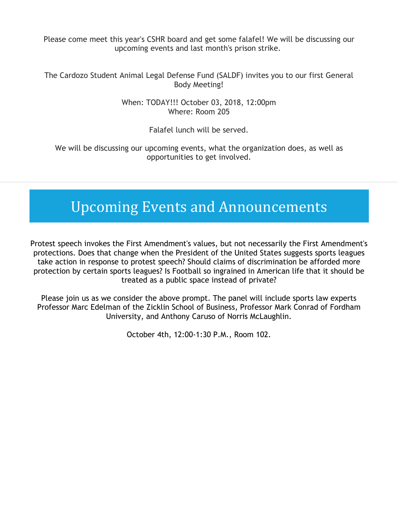Please come meet this year's CSHR board and get some falafel! We will be discussing our upcoming events and last month's prison strike.

The Cardozo Student Animal Legal Defense Fund (SALDF) invites you to our first General Body Meeting!

> When: TODAY!!! October 03, 2018, 12:00pm Where: Room 205

> > Falafel lunch will be served.

We will be discussing our upcoming events, what the organization does, as well as opportunities to get involved.

## Upcoming Events and Announcements

Protest speech invokes the First Amendment's values, but not necessarily the First Amendment's protections. Does that change when the President of the United States suggests sports leagues take action in response to protest speech? Should claims of discrimination be afforded more protection by certain sports leagues? Is Football so ingrained in American life that it should be treated as a public space instead of private?

Please join us as we consider the above prompt. The panel will include sports law experts Professor Marc Edelman of the Zicklin School of Business, Professor Mark Conrad of Fordham University, and Anthony Caruso of Norris McLaughlin.

October 4th, 12:00-1:30 P.M., Room 102.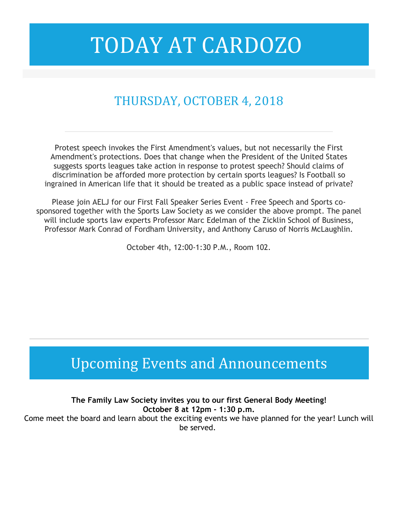# TODAY AT CARDOZO

### THURSDAY, OCTOBER 4, 2018

Protest speech invokes the First Amendment's values, but not necessarily the First Amendment's protections. Does that change when the President of the United States suggests sports leagues take action in response to protest speech? Should claims of discrimination be afforded more protection by certain sports leagues? Is Football so ingrained in American life that it should be treated as a public space instead of private?

Please join AELJ for our First Fall Speaker Series Event - Free Speech and Sports cosponsored together with the Sports Law Society as we consider the above prompt. The panel will include sports law experts Professor Marc Edelman of the Zicklin School of Business, Professor Mark Conrad of Fordham University, and Anthony Caruso of Norris McLaughlin.

October 4th, 12:00-1:30 P.M., Room 102.

### Upcoming Events and Announcements

**The Family Law Society invites you to our first General Body Meeting! October 8 at 12pm - 1:30 p.m.**

Come meet the board and learn about the exciting events we have planned for the year! Lunch will be served.